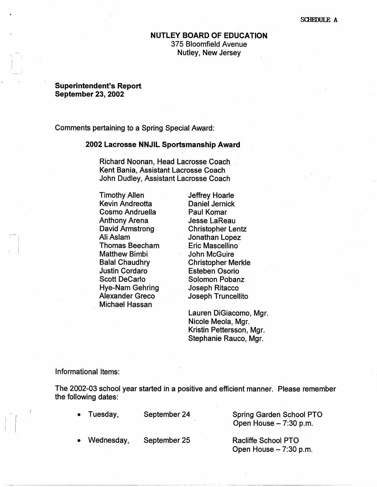#### **SCHIDULE A**

# **NUTLEY BOARD OF EDUCATION**  375 Bloomfield Avenue Nutley, New Jersey

### **Superintendent's Report September 23, 2002**

Comments pertaining to a Spring Special Award:

#### **2002 Lacrosse NNJIL Sportsmanship Award**

Richard Noonan, Head Lacrosse Coach . Kent Bania, Assistant Lacrosse Coach John Dudley, Assistant Lacrosse Coach

Timothy Allen **Kevin Andreotta** Cosmo Andruella Anthony Arena David Armstrong Ali Aslam Thomas Beecham Matthew Bimbi Balal Chaudhry Justin Cordaro Scott Decarlo Hye-Nam Gehring Alexander Greco Michael Hassan

Jeffrey Hoarle Daniel Jernick Paul Komar Jesse LaReau Christopher Lentz Jonathan Lopez Eric Mascellino John McGuire Christopher Merkle Esteben Osorio Solomon Pobanz Joseph Ritacco · Joseph Truncellito

Lauren DiGiacomo, Mgr. Nicole Meola, Mgr. Kristin Pettersson, Mgr. Stephanie Rauco, Mgr.

### Informational Items:

The 2002-03 school year started in a positive and efficient manner. Please remember the following dates:

 $\mathbf{r}$ 

• Tuesday, September 24

Spring Garden School PTO Open House  $-7:30$  p.m.

• Wednesday, September 25

Racliffe School PTO Open House  $-7:30$  p.m.